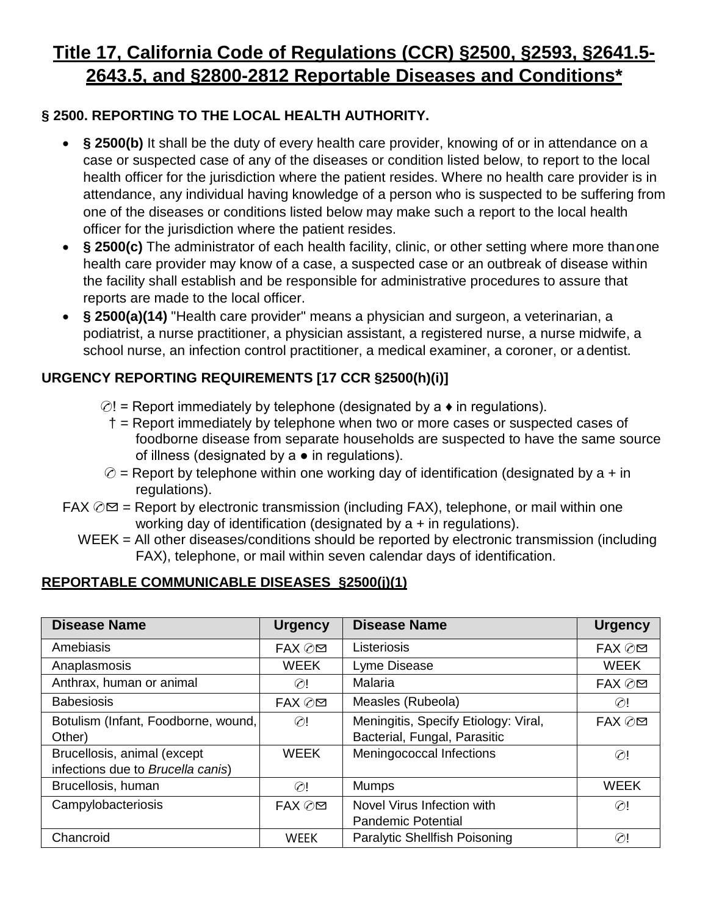# **Title 17, California Code of Regulations (CCR) §2500, §2593, §2641.5- 2643.5, and §2800-2812 Reportable Diseases and Conditions\***

# **§ 2500. REPORTING TO THE LOCAL HEALTH AUTHORITY.**

- § 2500(b) It shall be the duty of every health care provider, knowing of or in attendance on a case or suspected case of any of the diseases or condition listed below, to report to the local health officer for the jurisdiction where the patient resides. Where no health care provider is in attendance, any individual having knowledge of a person who is suspected to be suffering from one of the diseases or conditions listed below may make such a report to the local health officer for the jurisdiction where the patient resides.
- **§ 2500(c)** The administrator of each health facility, clinic, or other setting where more thanone health care provider may know of a case, a suspected case or an outbreak of disease within the facility shall establish and be responsible for administrative procedures to assure that reports are made to the local officer.
- **§ 2500(a)(14)** "Health care provider" means a physician and surgeon, a veterinarian, a podiatrist, a nurse practitioner, a physician assistant, a registered nurse, a nurse midwife, a school nurse, an infection control practitioner, a medical examiner, a coroner, or a dentist.

# **URGENCY REPORTING REQUIREMENTS [17 CCR §2500(h)(i)]**

- $\odot$ ! = Report immediately by telephone (designated by a  $\bullet$  in regulations).
	- † = Report immediately by telephone when two or more cases or suspected cases of foodborne disease from separate households are suspected to have the same source of illness (designated by  $a \bullet in$  regulations).
- $\circledcirc$  = Report by telephone within one working day of identification (designated by a + in regulations).
- $\text{FAX} \oslash \text{M}$  = Report by electronic transmission (including FAX), telephone, or mail within one working day of identification (designated by a + in regulations).
	- WEEK = All other diseases/conditions should be reported by electronic transmission (including FAX), telephone, or mail within seven calendar days of identification.

## **REPORTABLE COMMUNICABLE DISEASES §2500(j)(1)**

| <b>Disease Name</b>                 | <b>Urgency</b> | <b>Disease Name</b>                  | <b>Urgency</b> |
|-------------------------------------|----------------|--------------------------------------|----------------|
| Amebiasis                           | FAX ⊘⊠         | Listeriosis                          | FAX ⊘⊠         |
| Anaplasmosis                        | <b>WEEK</b>    | Lyme Disease                         | <b>WEEK</b>    |
| Anthrax, human or animal            | $\odot$ !      | Malaria                              | FAX ⊘⊠         |
| <b>Babesiosis</b>                   | FAX ⊘⊠         | Measles (Rubeola)                    | $\odot$ !      |
| Botulism (Infant, Foodborne, wound, | $\oslash$ !    | Meningitis, Specify Etiology: Viral, | FAX ⊘⊠         |
| Other)                              |                | Bacterial, Fungal, Parasitic         |                |
| Brucellosis, animal (except         | <b>WEEK</b>    | Meningococcal Infections             | $\odot$ !      |
| infections due to Brucella canis)   |                |                                      |                |
| Brucellosis, human                  | $\oslash$      | <b>Mumps</b>                         | <b>WEEK</b>    |
| Campylobacteriosis                  | FAX ⊘⊠         | Novel Virus Infection with           | $\odot$ !      |
|                                     |                | <b>Pandemic Potential</b>            |                |
| Chancroid                           | <b>WEEK</b>    | <b>Paralytic Shellfish Poisoning</b> | $\odot!$       |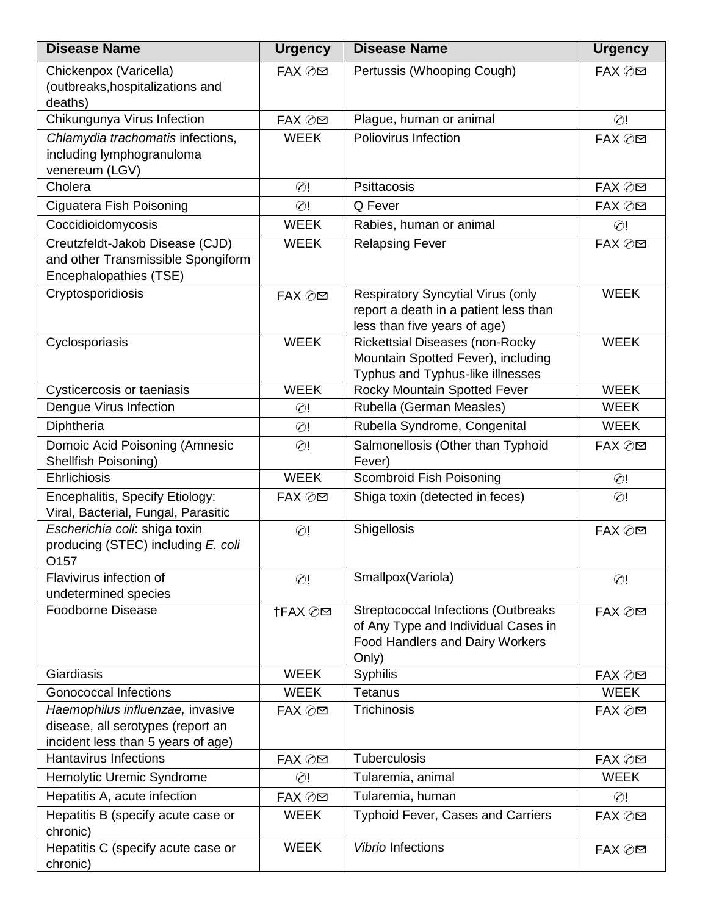| Pertussis (Whooping Cough)<br>Chickenpox (Varicella)<br>FAX ⊘⊠<br>FAX ⊘⊠<br>(outbreaks, hospitalizations and<br>deaths)<br>Chikungunya Virus Infection<br>Plague, human or animal<br>FAX ⊘⊠<br>$\odot$ !<br>Chlamydia trachomatis infections,<br><b>WEEK</b><br>Poliovirus Infection<br>FAX ⊘⊠<br>including lymphogranuloma<br>venereum (LGV)<br>Cholera<br><b>Psittacosis</b><br>$\odot$ !<br>FAX ⊘⊠<br>Ciguatera Fish Poisoning<br>Q Fever<br>$\odot$ !<br>FAX ⊘⊠<br>Coccidioidomycosis<br><b>WEEK</b><br>Rabies, human or animal<br>$\odot$ !<br>Creutzfeldt-Jakob Disease (CJD)<br><b>WEEK</b><br><b>Relapsing Fever</b><br>FAX ⊘⊠<br>and other Transmissible Spongiform<br>Encephalopathies (TSE)<br>Cryptosporidiosis<br><b>WEEK</b><br><b>Respiratory Syncytial Virus (only</b><br>FAX ⊘⊠<br>report a death in a patient less than<br>less than five years of age)<br><b>WEEK</b><br><b>WEEK</b><br><b>Rickettsial Diseases (non-Rocky</b><br>Cyclosporiasis<br>Mountain Spotted Fever), including<br>Typhus and Typhus-like illnesses<br><b>WEEK</b><br><b>WEEK</b><br>Cysticercosis or taeniasis<br>Rocky Mountain Spotted Fever<br>Dengue Virus Infection<br>Rubella (German Measles)<br><b>WEEK</b><br>$\odot$ !<br>Rubella Syndrome, Congenital<br>Diphtheria<br><b>WEEK</b><br>$\odot$ !<br>Domoic Acid Poisoning (Amnesic<br>Salmonellosis (Other than Typhoid<br>$\odot$ !<br>FAX ⊘⊠<br>Shellfish Poisoning)<br>Fever)<br><b>WEEK</b><br>Ehrlichiosis<br>Scombroid Fish Poisoning<br>$\odot$ !<br>Shiga toxin (detected in feces)<br>Encephalitis, Specify Etiology:<br>FAX ⊘⊠<br>$\odot$ !<br>Viral, Bacterial, Fungal, Parasitic<br>Shigellosis<br>Escherichia coli: shiga toxin<br>$\odot!$<br>FAX ⊘⊠<br>producing (STEC) including E. coli<br>O157<br>Flavivirus infection of<br>Smallpox(Variola)<br>$\odot$ !<br>$\odot$ !<br>undetermined species<br><b>Foodborne Disease</b><br><b>Streptococcal Infections (Outbreaks</b><br>†FAX ⊘⊠<br>FAX ⊘⊠<br>of Any Type and Individual Cases in<br><b>Food Handlers and Dairy Workers</b><br>Only)<br>Giardiasis<br><b>WEEK</b><br>Syphilis<br>FAX ⊘⊠<br><b>Gonococcal Infections</b><br><b>WEEK</b><br>Tetanus<br><b>WEEK</b><br><b>Trichinosis</b><br>Haemophilus influenzae, invasive<br>FAX ⊘⊠<br>FAX ⊘⊠<br>disease, all serotypes (report an<br>incident less than 5 years of age)<br><b>Hantavirus Infections</b><br>Tuberculosis<br>FAX ⊘⊠<br>FAX ⊘⊠<br><b>WEEK</b><br>Hemolytic Uremic Syndrome<br>Tularemia, animal<br>$\odot$ !<br>Hepatitis A, acute infection<br>Tularemia, human<br>FAX ⊘⊠<br>$\odot$ !<br><b>WEEK</b><br>Hepatitis B (specify acute case or<br><b>Typhoid Fever, Cases and Carriers</b><br>FAX ⊘⊠<br>chronic)<br>Hepatitis C (specify acute case or<br><b>WEEK</b><br><b>Vibrio Infections</b><br>FAX ⊘⊠ | <b>Disease Name</b> | <b>Urgency</b> | <b>Disease Name</b> | <b>Urgency</b> |
|------------------------------------------------------------------------------------------------------------------------------------------------------------------------------------------------------------------------------------------------------------------------------------------------------------------------------------------------------------------------------------------------------------------------------------------------------------------------------------------------------------------------------------------------------------------------------------------------------------------------------------------------------------------------------------------------------------------------------------------------------------------------------------------------------------------------------------------------------------------------------------------------------------------------------------------------------------------------------------------------------------------------------------------------------------------------------------------------------------------------------------------------------------------------------------------------------------------------------------------------------------------------------------------------------------------------------------------------------------------------------------------------------------------------------------------------------------------------------------------------------------------------------------------------------------------------------------------------------------------------------------------------------------------------------------------------------------------------------------------------------------------------------------------------------------------------------------------------------------------------------------------------------------------------------------------------------------------------------------------------------------------------------------------------------------------------------------------------------------------------------------------------------------------------------------------------------------------------------------------------------------------------------------------------------------------------------------------------------------------------------------------------------------------------------------------------------------------------------------------------------------------------------------------------------------------------------------------------------------------------------------------------------------------------------------------------------------------------------------------------------------------------------------------------------|---------------------|----------------|---------------------|----------------|
|                                                                                                                                                                                                                                                                                                                                                                                                                                                                                                                                                                                                                                                                                                                                                                                                                                                                                                                                                                                                                                                                                                                                                                                                                                                                                                                                                                                                                                                                                                                                                                                                                                                                                                                                                                                                                                                                                                                                                                                                                                                                                                                                                                                                                                                                                                                                                                                                                                                                                                                                                                                                                                                                                                                                                                                                      |                     |                |                     |                |
|                                                                                                                                                                                                                                                                                                                                                                                                                                                                                                                                                                                                                                                                                                                                                                                                                                                                                                                                                                                                                                                                                                                                                                                                                                                                                                                                                                                                                                                                                                                                                                                                                                                                                                                                                                                                                                                                                                                                                                                                                                                                                                                                                                                                                                                                                                                                                                                                                                                                                                                                                                                                                                                                                                                                                                                                      |                     |                |                     |                |
|                                                                                                                                                                                                                                                                                                                                                                                                                                                                                                                                                                                                                                                                                                                                                                                                                                                                                                                                                                                                                                                                                                                                                                                                                                                                                                                                                                                                                                                                                                                                                                                                                                                                                                                                                                                                                                                                                                                                                                                                                                                                                                                                                                                                                                                                                                                                                                                                                                                                                                                                                                                                                                                                                                                                                                                                      |                     |                |                     |                |
|                                                                                                                                                                                                                                                                                                                                                                                                                                                                                                                                                                                                                                                                                                                                                                                                                                                                                                                                                                                                                                                                                                                                                                                                                                                                                                                                                                                                                                                                                                                                                                                                                                                                                                                                                                                                                                                                                                                                                                                                                                                                                                                                                                                                                                                                                                                                                                                                                                                                                                                                                                                                                                                                                                                                                                                                      |                     |                |                     |                |
|                                                                                                                                                                                                                                                                                                                                                                                                                                                                                                                                                                                                                                                                                                                                                                                                                                                                                                                                                                                                                                                                                                                                                                                                                                                                                                                                                                                                                                                                                                                                                                                                                                                                                                                                                                                                                                                                                                                                                                                                                                                                                                                                                                                                                                                                                                                                                                                                                                                                                                                                                                                                                                                                                                                                                                                                      |                     |                |                     |                |
|                                                                                                                                                                                                                                                                                                                                                                                                                                                                                                                                                                                                                                                                                                                                                                                                                                                                                                                                                                                                                                                                                                                                                                                                                                                                                                                                                                                                                                                                                                                                                                                                                                                                                                                                                                                                                                                                                                                                                                                                                                                                                                                                                                                                                                                                                                                                                                                                                                                                                                                                                                                                                                                                                                                                                                                                      |                     |                |                     |                |
|                                                                                                                                                                                                                                                                                                                                                                                                                                                                                                                                                                                                                                                                                                                                                                                                                                                                                                                                                                                                                                                                                                                                                                                                                                                                                                                                                                                                                                                                                                                                                                                                                                                                                                                                                                                                                                                                                                                                                                                                                                                                                                                                                                                                                                                                                                                                                                                                                                                                                                                                                                                                                                                                                                                                                                                                      |                     |                |                     |                |
|                                                                                                                                                                                                                                                                                                                                                                                                                                                                                                                                                                                                                                                                                                                                                                                                                                                                                                                                                                                                                                                                                                                                                                                                                                                                                                                                                                                                                                                                                                                                                                                                                                                                                                                                                                                                                                                                                                                                                                                                                                                                                                                                                                                                                                                                                                                                                                                                                                                                                                                                                                                                                                                                                                                                                                                                      |                     |                |                     |                |
|                                                                                                                                                                                                                                                                                                                                                                                                                                                                                                                                                                                                                                                                                                                                                                                                                                                                                                                                                                                                                                                                                                                                                                                                                                                                                                                                                                                                                                                                                                                                                                                                                                                                                                                                                                                                                                                                                                                                                                                                                                                                                                                                                                                                                                                                                                                                                                                                                                                                                                                                                                                                                                                                                                                                                                                                      |                     |                |                     |                |
|                                                                                                                                                                                                                                                                                                                                                                                                                                                                                                                                                                                                                                                                                                                                                                                                                                                                                                                                                                                                                                                                                                                                                                                                                                                                                                                                                                                                                                                                                                                                                                                                                                                                                                                                                                                                                                                                                                                                                                                                                                                                                                                                                                                                                                                                                                                                                                                                                                                                                                                                                                                                                                                                                                                                                                                                      |                     |                |                     |                |
|                                                                                                                                                                                                                                                                                                                                                                                                                                                                                                                                                                                                                                                                                                                                                                                                                                                                                                                                                                                                                                                                                                                                                                                                                                                                                                                                                                                                                                                                                                                                                                                                                                                                                                                                                                                                                                                                                                                                                                                                                                                                                                                                                                                                                                                                                                                                                                                                                                                                                                                                                                                                                                                                                                                                                                                                      |                     |                |                     |                |
|                                                                                                                                                                                                                                                                                                                                                                                                                                                                                                                                                                                                                                                                                                                                                                                                                                                                                                                                                                                                                                                                                                                                                                                                                                                                                                                                                                                                                                                                                                                                                                                                                                                                                                                                                                                                                                                                                                                                                                                                                                                                                                                                                                                                                                                                                                                                                                                                                                                                                                                                                                                                                                                                                                                                                                                                      |                     |                |                     |                |
|                                                                                                                                                                                                                                                                                                                                                                                                                                                                                                                                                                                                                                                                                                                                                                                                                                                                                                                                                                                                                                                                                                                                                                                                                                                                                                                                                                                                                                                                                                                                                                                                                                                                                                                                                                                                                                                                                                                                                                                                                                                                                                                                                                                                                                                                                                                                                                                                                                                                                                                                                                                                                                                                                                                                                                                                      |                     |                |                     |                |
|                                                                                                                                                                                                                                                                                                                                                                                                                                                                                                                                                                                                                                                                                                                                                                                                                                                                                                                                                                                                                                                                                                                                                                                                                                                                                                                                                                                                                                                                                                                                                                                                                                                                                                                                                                                                                                                                                                                                                                                                                                                                                                                                                                                                                                                                                                                                                                                                                                                                                                                                                                                                                                                                                                                                                                                                      |                     |                |                     |                |
|                                                                                                                                                                                                                                                                                                                                                                                                                                                                                                                                                                                                                                                                                                                                                                                                                                                                                                                                                                                                                                                                                                                                                                                                                                                                                                                                                                                                                                                                                                                                                                                                                                                                                                                                                                                                                                                                                                                                                                                                                                                                                                                                                                                                                                                                                                                                                                                                                                                                                                                                                                                                                                                                                                                                                                                                      |                     |                |                     |                |
|                                                                                                                                                                                                                                                                                                                                                                                                                                                                                                                                                                                                                                                                                                                                                                                                                                                                                                                                                                                                                                                                                                                                                                                                                                                                                                                                                                                                                                                                                                                                                                                                                                                                                                                                                                                                                                                                                                                                                                                                                                                                                                                                                                                                                                                                                                                                                                                                                                                                                                                                                                                                                                                                                                                                                                                                      |                     |                |                     |                |
|                                                                                                                                                                                                                                                                                                                                                                                                                                                                                                                                                                                                                                                                                                                                                                                                                                                                                                                                                                                                                                                                                                                                                                                                                                                                                                                                                                                                                                                                                                                                                                                                                                                                                                                                                                                                                                                                                                                                                                                                                                                                                                                                                                                                                                                                                                                                                                                                                                                                                                                                                                                                                                                                                                                                                                                                      |                     |                |                     |                |
|                                                                                                                                                                                                                                                                                                                                                                                                                                                                                                                                                                                                                                                                                                                                                                                                                                                                                                                                                                                                                                                                                                                                                                                                                                                                                                                                                                                                                                                                                                                                                                                                                                                                                                                                                                                                                                                                                                                                                                                                                                                                                                                                                                                                                                                                                                                                                                                                                                                                                                                                                                                                                                                                                                                                                                                                      |                     |                |                     |                |
|                                                                                                                                                                                                                                                                                                                                                                                                                                                                                                                                                                                                                                                                                                                                                                                                                                                                                                                                                                                                                                                                                                                                                                                                                                                                                                                                                                                                                                                                                                                                                                                                                                                                                                                                                                                                                                                                                                                                                                                                                                                                                                                                                                                                                                                                                                                                                                                                                                                                                                                                                                                                                                                                                                                                                                                                      |                     |                |                     |                |
|                                                                                                                                                                                                                                                                                                                                                                                                                                                                                                                                                                                                                                                                                                                                                                                                                                                                                                                                                                                                                                                                                                                                                                                                                                                                                                                                                                                                                                                                                                                                                                                                                                                                                                                                                                                                                                                                                                                                                                                                                                                                                                                                                                                                                                                                                                                                                                                                                                                                                                                                                                                                                                                                                                                                                                                                      |                     |                |                     |                |
|                                                                                                                                                                                                                                                                                                                                                                                                                                                                                                                                                                                                                                                                                                                                                                                                                                                                                                                                                                                                                                                                                                                                                                                                                                                                                                                                                                                                                                                                                                                                                                                                                                                                                                                                                                                                                                                                                                                                                                                                                                                                                                                                                                                                                                                                                                                                                                                                                                                                                                                                                                                                                                                                                                                                                                                                      |                     |                |                     |                |
|                                                                                                                                                                                                                                                                                                                                                                                                                                                                                                                                                                                                                                                                                                                                                                                                                                                                                                                                                                                                                                                                                                                                                                                                                                                                                                                                                                                                                                                                                                                                                                                                                                                                                                                                                                                                                                                                                                                                                                                                                                                                                                                                                                                                                                                                                                                                                                                                                                                                                                                                                                                                                                                                                                                                                                                                      |                     |                |                     |                |
|                                                                                                                                                                                                                                                                                                                                                                                                                                                                                                                                                                                                                                                                                                                                                                                                                                                                                                                                                                                                                                                                                                                                                                                                                                                                                                                                                                                                                                                                                                                                                                                                                                                                                                                                                                                                                                                                                                                                                                                                                                                                                                                                                                                                                                                                                                                                                                                                                                                                                                                                                                                                                                                                                                                                                                                                      |                     |                |                     |                |
|                                                                                                                                                                                                                                                                                                                                                                                                                                                                                                                                                                                                                                                                                                                                                                                                                                                                                                                                                                                                                                                                                                                                                                                                                                                                                                                                                                                                                                                                                                                                                                                                                                                                                                                                                                                                                                                                                                                                                                                                                                                                                                                                                                                                                                                                                                                                                                                                                                                                                                                                                                                                                                                                                                                                                                                                      |                     |                |                     |                |
|                                                                                                                                                                                                                                                                                                                                                                                                                                                                                                                                                                                                                                                                                                                                                                                                                                                                                                                                                                                                                                                                                                                                                                                                                                                                                                                                                                                                                                                                                                                                                                                                                                                                                                                                                                                                                                                                                                                                                                                                                                                                                                                                                                                                                                                                                                                                                                                                                                                                                                                                                                                                                                                                                                                                                                                                      |                     |                |                     |                |
|                                                                                                                                                                                                                                                                                                                                                                                                                                                                                                                                                                                                                                                                                                                                                                                                                                                                                                                                                                                                                                                                                                                                                                                                                                                                                                                                                                                                                                                                                                                                                                                                                                                                                                                                                                                                                                                                                                                                                                                                                                                                                                                                                                                                                                                                                                                                                                                                                                                                                                                                                                                                                                                                                                                                                                                                      |                     |                |                     |                |
|                                                                                                                                                                                                                                                                                                                                                                                                                                                                                                                                                                                                                                                                                                                                                                                                                                                                                                                                                                                                                                                                                                                                                                                                                                                                                                                                                                                                                                                                                                                                                                                                                                                                                                                                                                                                                                                                                                                                                                                                                                                                                                                                                                                                                                                                                                                                                                                                                                                                                                                                                                                                                                                                                                                                                                                                      |                     |                |                     |                |
|                                                                                                                                                                                                                                                                                                                                                                                                                                                                                                                                                                                                                                                                                                                                                                                                                                                                                                                                                                                                                                                                                                                                                                                                                                                                                                                                                                                                                                                                                                                                                                                                                                                                                                                                                                                                                                                                                                                                                                                                                                                                                                                                                                                                                                                                                                                                                                                                                                                                                                                                                                                                                                                                                                                                                                                                      |                     |                |                     |                |
|                                                                                                                                                                                                                                                                                                                                                                                                                                                                                                                                                                                                                                                                                                                                                                                                                                                                                                                                                                                                                                                                                                                                                                                                                                                                                                                                                                                                                                                                                                                                                                                                                                                                                                                                                                                                                                                                                                                                                                                                                                                                                                                                                                                                                                                                                                                                                                                                                                                                                                                                                                                                                                                                                                                                                                                                      |                     |                |                     |                |
|                                                                                                                                                                                                                                                                                                                                                                                                                                                                                                                                                                                                                                                                                                                                                                                                                                                                                                                                                                                                                                                                                                                                                                                                                                                                                                                                                                                                                                                                                                                                                                                                                                                                                                                                                                                                                                                                                                                                                                                                                                                                                                                                                                                                                                                                                                                                                                                                                                                                                                                                                                                                                                                                                                                                                                                                      |                     |                |                     |                |
|                                                                                                                                                                                                                                                                                                                                                                                                                                                                                                                                                                                                                                                                                                                                                                                                                                                                                                                                                                                                                                                                                                                                                                                                                                                                                                                                                                                                                                                                                                                                                                                                                                                                                                                                                                                                                                                                                                                                                                                                                                                                                                                                                                                                                                                                                                                                                                                                                                                                                                                                                                                                                                                                                                                                                                                                      |                     |                |                     |                |
|                                                                                                                                                                                                                                                                                                                                                                                                                                                                                                                                                                                                                                                                                                                                                                                                                                                                                                                                                                                                                                                                                                                                                                                                                                                                                                                                                                                                                                                                                                                                                                                                                                                                                                                                                                                                                                                                                                                                                                                                                                                                                                                                                                                                                                                                                                                                                                                                                                                                                                                                                                                                                                                                                                                                                                                                      |                     |                |                     |                |
|                                                                                                                                                                                                                                                                                                                                                                                                                                                                                                                                                                                                                                                                                                                                                                                                                                                                                                                                                                                                                                                                                                                                                                                                                                                                                                                                                                                                                                                                                                                                                                                                                                                                                                                                                                                                                                                                                                                                                                                                                                                                                                                                                                                                                                                                                                                                                                                                                                                                                                                                                                                                                                                                                                                                                                                                      |                     |                |                     |                |
|                                                                                                                                                                                                                                                                                                                                                                                                                                                                                                                                                                                                                                                                                                                                                                                                                                                                                                                                                                                                                                                                                                                                                                                                                                                                                                                                                                                                                                                                                                                                                                                                                                                                                                                                                                                                                                                                                                                                                                                                                                                                                                                                                                                                                                                                                                                                                                                                                                                                                                                                                                                                                                                                                                                                                                                                      |                     |                |                     |                |
|                                                                                                                                                                                                                                                                                                                                                                                                                                                                                                                                                                                                                                                                                                                                                                                                                                                                                                                                                                                                                                                                                                                                                                                                                                                                                                                                                                                                                                                                                                                                                                                                                                                                                                                                                                                                                                                                                                                                                                                                                                                                                                                                                                                                                                                                                                                                                                                                                                                                                                                                                                                                                                                                                                                                                                                                      |                     |                |                     |                |
|                                                                                                                                                                                                                                                                                                                                                                                                                                                                                                                                                                                                                                                                                                                                                                                                                                                                                                                                                                                                                                                                                                                                                                                                                                                                                                                                                                                                                                                                                                                                                                                                                                                                                                                                                                                                                                                                                                                                                                                                                                                                                                                                                                                                                                                                                                                                                                                                                                                                                                                                                                                                                                                                                                                                                                                                      |                     |                |                     |                |
|                                                                                                                                                                                                                                                                                                                                                                                                                                                                                                                                                                                                                                                                                                                                                                                                                                                                                                                                                                                                                                                                                                                                                                                                                                                                                                                                                                                                                                                                                                                                                                                                                                                                                                                                                                                                                                                                                                                                                                                                                                                                                                                                                                                                                                                                                                                                                                                                                                                                                                                                                                                                                                                                                                                                                                                                      |                     |                |                     |                |
|                                                                                                                                                                                                                                                                                                                                                                                                                                                                                                                                                                                                                                                                                                                                                                                                                                                                                                                                                                                                                                                                                                                                                                                                                                                                                                                                                                                                                                                                                                                                                                                                                                                                                                                                                                                                                                                                                                                                                                                                                                                                                                                                                                                                                                                                                                                                                                                                                                                                                                                                                                                                                                                                                                                                                                                                      |                     |                |                     |                |
|                                                                                                                                                                                                                                                                                                                                                                                                                                                                                                                                                                                                                                                                                                                                                                                                                                                                                                                                                                                                                                                                                                                                                                                                                                                                                                                                                                                                                                                                                                                                                                                                                                                                                                                                                                                                                                                                                                                                                                                                                                                                                                                                                                                                                                                                                                                                                                                                                                                                                                                                                                                                                                                                                                                                                                                                      |                     |                |                     |                |
|                                                                                                                                                                                                                                                                                                                                                                                                                                                                                                                                                                                                                                                                                                                                                                                                                                                                                                                                                                                                                                                                                                                                                                                                                                                                                                                                                                                                                                                                                                                                                                                                                                                                                                                                                                                                                                                                                                                                                                                                                                                                                                                                                                                                                                                                                                                                                                                                                                                                                                                                                                                                                                                                                                                                                                                                      |                     |                |                     |                |
|                                                                                                                                                                                                                                                                                                                                                                                                                                                                                                                                                                                                                                                                                                                                                                                                                                                                                                                                                                                                                                                                                                                                                                                                                                                                                                                                                                                                                                                                                                                                                                                                                                                                                                                                                                                                                                                                                                                                                                                                                                                                                                                                                                                                                                                                                                                                                                                                                                                                                                                                                                                                                                                                                                                                                                                                      |                     |                |                     |                |
|                                                                                                                                                                                                                                                                                                                                                                                                                                                                                                                                                                                                                                                                                                                                                                                                                                                                                                                                                                                                                                                                                                                                                                                                                                                                                                                                                                                                                                                                                                                                                                                                                                                                                                                                                                                                                                                                                                                                                                                                                                                                                                                                                                                                                                                                                                                                                                                                                                                                                                                                                                                                                                                                                                                                                                                                      |                     |                |                     |                |
|                                                                                                                                                                                                                                                                                                                                                                                                                                                                                                                                                                                                                                                                                                                                                                                                                                                                                                                                                                                                                                                                                                                                                                                                                                                                                                                                                                                                                                                                                                                                                                                                                                                                                                                                                                                                                                                                                                                                                                                                                                                                                                                                                                                                                                                                                                                                                                                                                                                                                                                                                                                                                                                                                                                                                                                                      | chronic)            |                |                     |                |